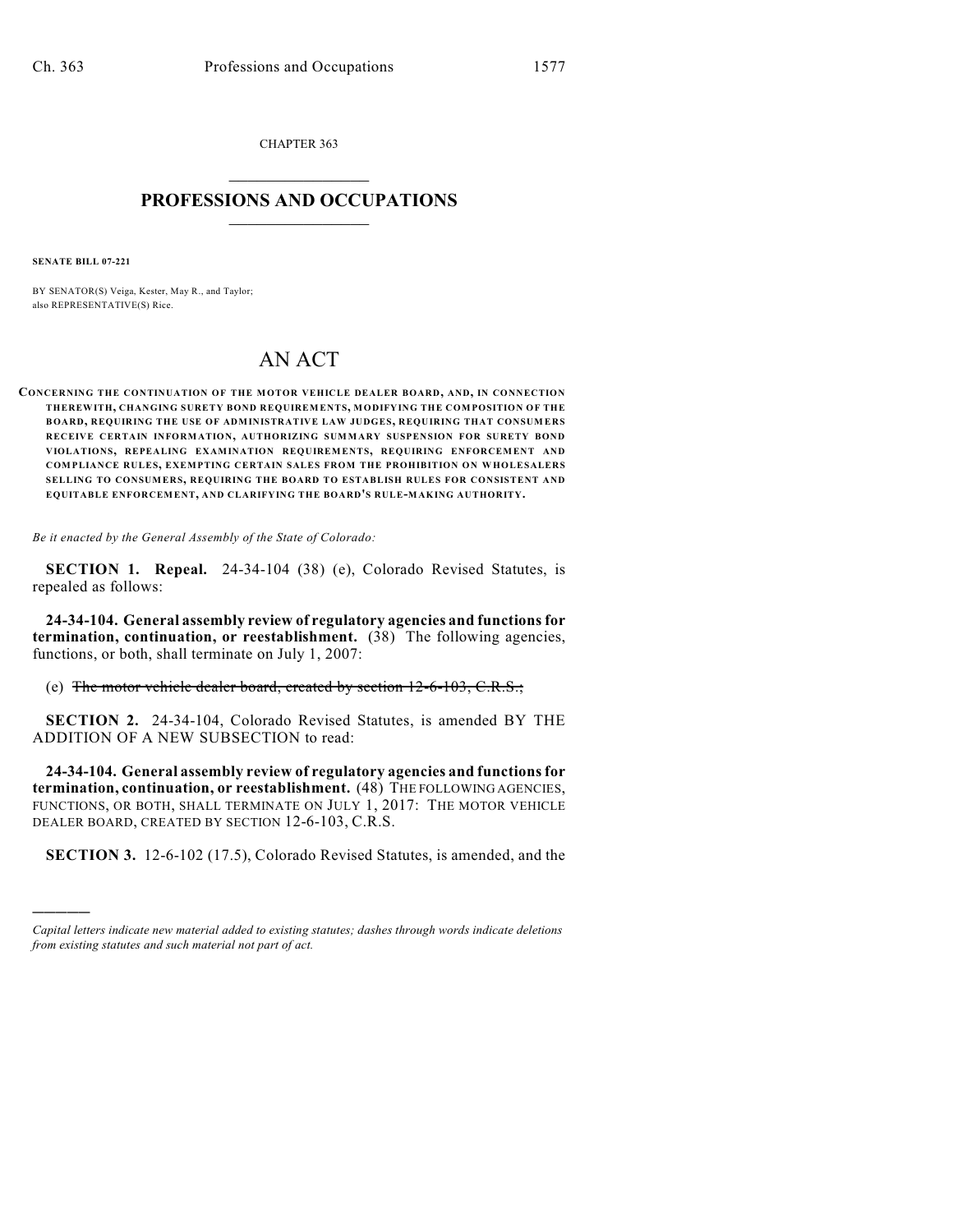CHAPTER 363  $\overline{\phantom{a}}$  . The set of the set of the set of the set of the set of the set of the set of the set of the set of the set of the set of the set of the set of the set of the set of the set of the set of the set of the set o

## **PROFESSIONS AND OCCUPATIONS**  $\frac{1}{2}$  ,  $\frac{1}{2}$  ,  $\frac{1}{2}$  ,  $\frac{1}{2}$  ,  $\frac{1}{2}$  ,  $\frac{1}{2}$

**SENATE BILL 07-221**

)))))

BY SENATOR(S) Veiga, Kester, May R., and Taylor; also REPRESENTATIVE(S) Rice.

## AN ACT

**CONCERNING THE CONTINUATION OF THE M OTOR VEHICLE DEALER BOARD, AND, IN CONNECTION THEREWITH, CHANGING SURETY BOND REQUIREMENTS, MODIFYING THE COMPOSITION OF THE BOARD, REQUIRING THE USE OF ADMINISTRATIVE LAW JUDGES, REQUIRING THAT CONSUM ERS RECEIVE CERTAIN INFORMATION, AUTHORIZING SUMMARY SUSPENSION FOR SURETY BOND VIOLATIONS, REPEALING EXAMINATION REQUIREMENTS, REQUIRING ENFORCEMENT AND COMPLIANCE RULES, EXEMPTING CERTAIN SALES FROM THE PROHIBITION ON WHOLESALERS SELLING TO CONSUMERS, REQUIRING THE BOARD TO ESTABLISH RULES FOR CONSISTENT AND EQUITABLE ENFORCEMENT, AND CLARIFYING THE BOARD'S RULE-MAKING AUTHORITY.**

*Be it enacted by the General Assembly of the State of Colorado:*

**SECTION 1. Repeal.** 24-34-104 (38) (e), Colorado Revised Statutes, is repealed as follows:

**24-34-104. General assembly review of regulatory agencies and functions for termination, continuation, or reestablishment.** (38) The following agencies, functions, or both, shall terminate on July 1, 2007:

(e) The motor vehicle dealer board, created by section 12-6-103, C.R.S.;

**SECTION 2.** 24-34-104, Colorado Revised Statutes, is amended BY THE ADDITION OF A NEW SUBSECTION to read:

**24-34-104. General assembly review of regulatory agencies and functions for termination, continuation, or reestablishment.** (48) THE FOLLOWING AGENCIES, FUNCTIONS, OR BOTH, SHALL TERMINATE ON JULY 1, 2017: THE MOTOR VEHICLE DEALER BOARD, CREATED BY SECTION 12-6-103, C.R.S.

**SECTION 3.** 12-6-102 (17.5), Colorado Revised Statutes, is amended, and the

*Capital letters indicate new material added to existing statutes; dashes through words indicate deletions from existing statutes and such material not part of act.*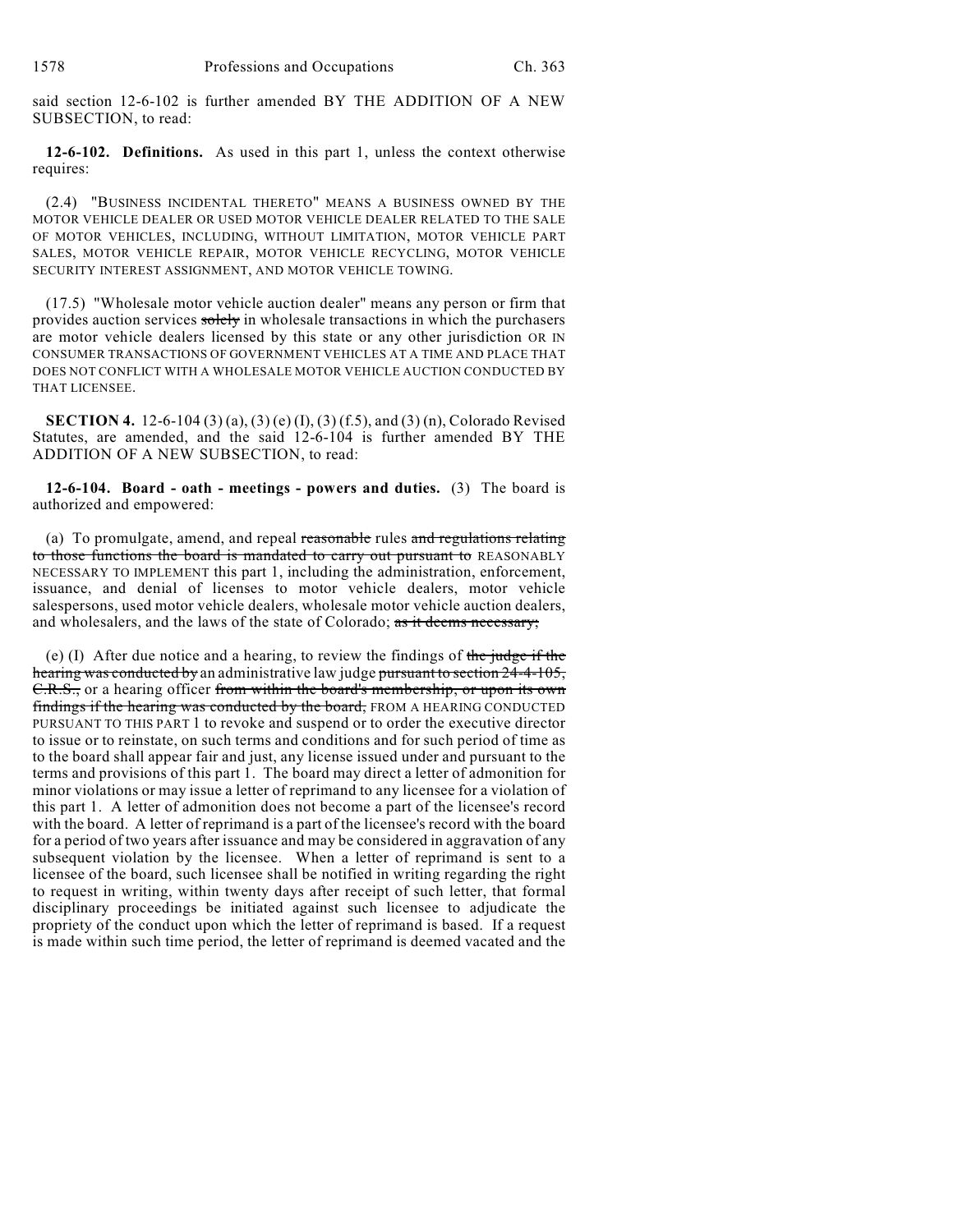said section 12-6-102 is further amended BY THE ADDITION OF A NEW SUBSECTION, to read:

**12-6-102. Definitions.** As used in this part 1, unless the context otherwise requires:

(2.4) "BUSINESS INCIDENTAL THERETO" MEANS A BUSINESS OWNED BY THE MOTOR VEHICLE DEALER OR USED MOTOR VEHICLE DEALER RELATED TO THE SALE OF MOTOR VEHICLES, INCLUDING, WITHOUT LIMITATION, MOTOR VEHICLE PART SALES, MOTOR VEHICLE REPAIR, MOTOR VEHICLE RECYCLING, MOTOR VEHICLE SECURITY INTEREST ASSIGNMENT, AND MOTOR VEHICLE TOWING.

(17.5) "Wholesale motor vehicle auction dealer" means any person or firm that provides auction services solely in wholesale transactions in which the purchasers are motor vehicle dealers licensed by this state or any other jurisdiction OR IN CONSUMER TRANSACTIONS OF GOVERNMENT VEHICLES AT A TIME AND PLACE THAT DOES NOT CONFLICT WITH A WHOLESALE MOTOR VEHICLE AUCTION CONDUCTED BY THAT LICENSEE.

**SECTION 4.** 12-6-104 (3) (a), (3) (e) (I), (3) (f.5), and (3) (n), Colorado Revised Statutes, are amended, and the said 12-6-104 is further amended BY THE ADDITION OF A NEW SUBSECTION, to read:

**12-6-104. Board - oath - meetings - powers and duties.** (3) The board is authorized and empowered:

(a) To promulgate, amend, and repeal reasonable rules and regulations relating to those functions the board is mandated to carry out pursuant to REASONABLY NECESSARY TO IMPLEMENT this part 1, including the administration, enforcement, issuance, and denial of licenses to motor vehicle dealers, motor vehicle salespersons, used motor vehicle dealers, wholesale motor vehicle auction dealers, and wholesalers, and the laws of the state of Colorado; as it deems necessary;

(e) (I) After due notice and a hearing, to review the findings of the judge if the hearing was conducted by an administrative law judge pursuant to section 24-4-105, C.R.S., or a hearing officer from within the board's membership, or upon its own findings if the hearing was conducted by the board, FROM A HEARING CONDUCTED PURSUANT TO THIS PART 1 to revoke and suspend or to order the executive director to issue or to reinstate, on such terms and conditions and for such period of time as to the board shall appear fair and just, any license issued under and pursuant to the terms and provisions of this part 1. The board may direct a letter of admonition for minor violations or may issue a letter of reprimand to any licensee for a violation of this part 1. A letter of admonition does not become a part of the licensee's record with the board. A letter of reprimand is a part of the licensee's record with the board for a period of two years after issuance and may be considered in aggravation of any subsequent violation by the licensee. When a letter of reprimand is sent to a licensee of the board, such licensee shall be notified in writing regarding the right to request in writing, within twenty days after receipt of such letter, that formal disciplinary proceedings be initiated against such licensee to adjudicate the propriety of the conduct upon which the letter of reprimand is based. If a request is made within such time period, the letter of reprimand is deemed vacated and the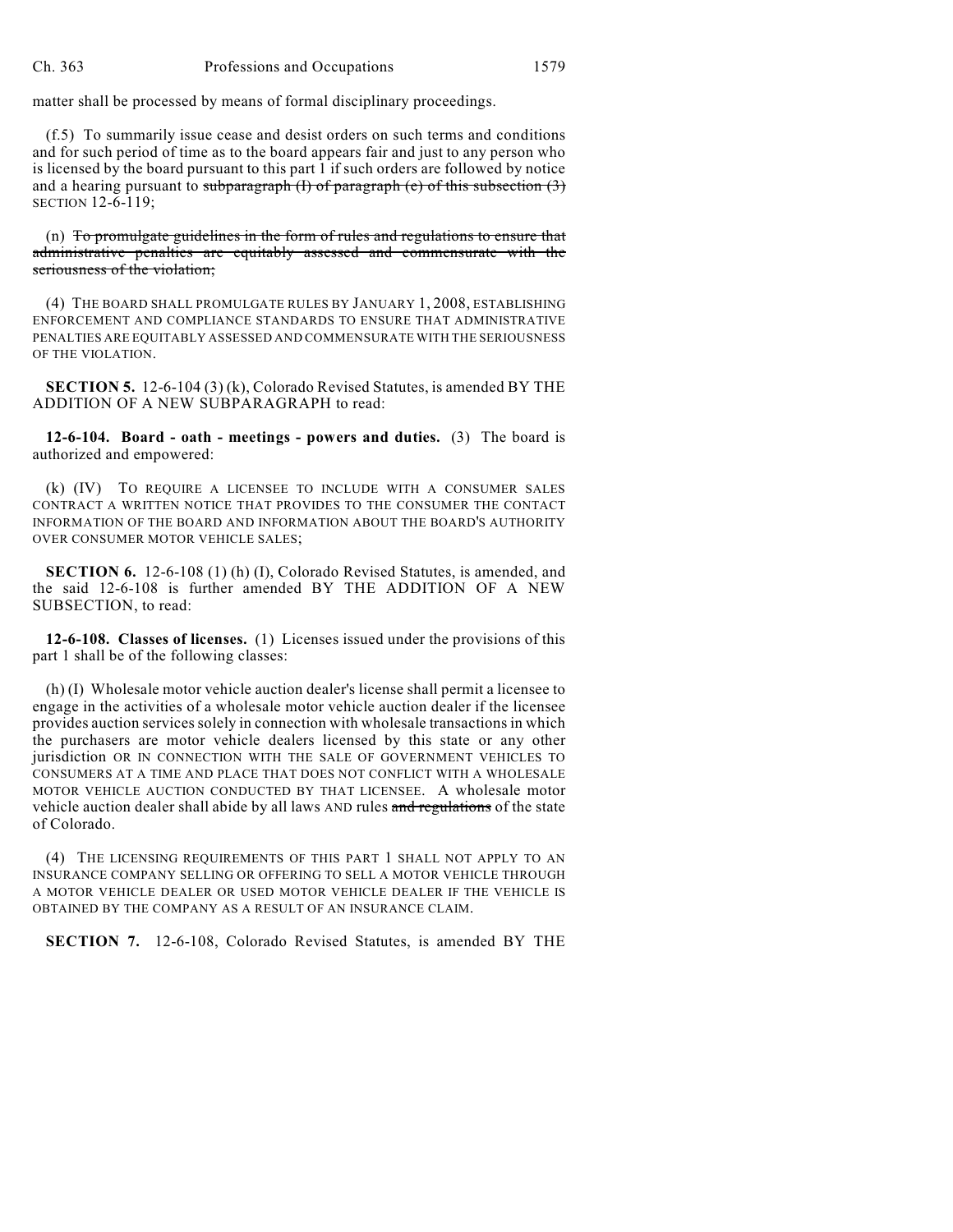matter shall be processed by means of formal disciplinary proceedings.

(f.5) To summarily issue cease and desist orders on such terms and conditions and for such period of time as to the board appears fair and just to any person who is licensed by the board pursuant to this part 1 if such orders are followed by notice and a hearing pursuant to subparagraph  $(I)$  of paragraph  $(e)$  of this subsection  $(3)$ SECTION 12-6-119;

(n) To promulgate guidelines in the form of rules and regulations to ensure that administrative penalties are equitably assessed and commensurate with the seriousness of the violation;

(4) THE BOARD SHALL PROMULGATE RULES BY JANUARY 1, 2008, ESTABLISHING ENFORCEMENT AND COMPLIANCE STANDARDS TO ENSURE THAT ADMINISTRATIVE PENALTIES ARE EQUITABLY ASSESSED AND COMMENSURATE WITH THE SERIOUSNESS OF THE VIOLATION.

**SECTION 5.** 12-6-104 (3) (k), Colorado Revised Statutes, is amended BY THE ADDITION OF A NEW SUBPARAGRAPH to read:

**12-6-104. Board - oath - meetings - powers and duties.** (3) The board is authorized and empowered:

(k) (IV) TO REQUIRE A LICENSEE TO INCLUDE WITH A CONSUMER SALES CONTRACT A WRITTEN NOTICE THAT PROVIDES TO THE CONSUMER THE CONTACT INFORMATION OF THE BOARD AND INFORMATION ABOUT THE BOARD'S AUTHORITY OVER CONSUMER MOTOR VEHICLE SALES;

**SECTION 6.** 12-6-108 (1) (h) (I), Colorado Revised Statutes, is amended, and the said 12-6-108 is further amended BY THE ADDITION OF A NEW SUBSECTION, to read:

**12-6-108. Classes of licenses.** (1) Licenses issued under the provisions of this part 1 shall be of the following classes:

(h) (I) Wholesale motor vehicle auction dealer's license shall permit a licensee to engage in the activities of a wholesale motor vehicle auction dealer if the licensee provides auction services solely in connection with wholesale transactions in which the purchasers are motor vehicle dealers licensed by this state or any other jurisdiction OR IN CONNECTION WITH THE SALE OF GOVERNMENT VEHICLES TO CONSUMERS AT A TIME AND PLACE THAT DOES NOT CONFLICT WITH A WHOLESALE MOTOR VEHICLE AUCTION CONDUCTED BY THAT LICENSEE. A wholesale motor vehicle auction dealer shall abide by all laws AND rules and regulations of the state of Colorado.

(4) THE LICENSING REQUIREMENTS OF THIS PART 1 SHALL NOT APPLY TO AN INSURANCE COMPANY SELLING OR OFFERING TO SELL A MOTOR VEHICLE THROUGH A MOTOR VEHICLE DEALER OR USED MOTOR VEHICLE DEALER IF THE VEHICLE IS OBTAINED BY THE COMPANY AS A RESULT OF AN INSURANCE CLAIM.

**SECTION 7.** 12-6-108, Colorado Revised Statutes, is amended BY THE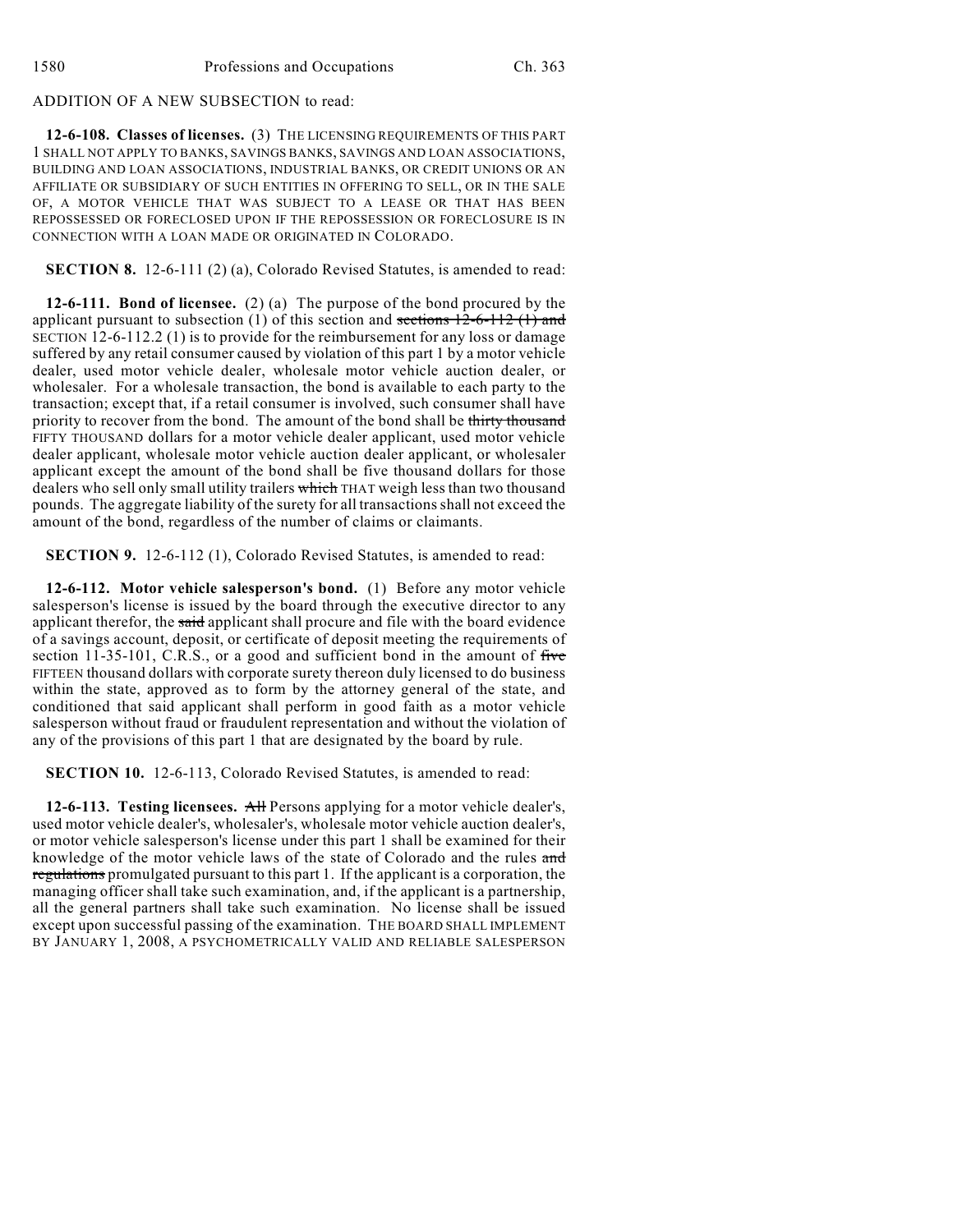## ADDITION OF A NEW SUBSECTION to read:

**12-6-108. Classes of licenses.** (3) THE LICENSING REQUIREMENTS OF THIS PART 1 SHALL NOT APPLY TO BANKS, SAVINGS BANKS, SAVINGS AND LOAN ASSOCIATIONS, BUILDING AND LOAN ASSOCIATIONS, INDUSTRIAL BANKS, OR CREDIT UNIONS OR AN AFFILIATE OR SUBSIDIARY OF SUCH ENTITIES IN OFFERING TO SELL, OR IN THE SALE OF, A MOTOR VEHICLE THAT WAS SUBJECT TO A LEASE OR THAT HAS BEEN REPOSSESSED OR FORECLOSED UPON IF THE REPOSSESSION OR FORECLOSURE IS IN CONNECTION WITH A LOAN MADE OR ORIGINATED IN COLORADO.

**SECTION 8.** 12-6-111 (2) (a), Colorado Revised Statutes, is amended to read:

**12-6-111. Bond of licensee.** (2) (a) The purpose of the bond procured by the applicant pursuant to subsection (1) of this section and sections  $12-6-112$  (1) and SECTION 12-6-112.2 (1) is to provide for the reimbursement for any loss or damage suffered by any retail consumer caused by violation of this part 1 by a motor vehicle dealer, used motor vehicle dealer, wholesale motor vehicle auction dealer, or wholesaler. For a wholesale transaction, the bond is available to each party to the transaction; except that, if a retail consumer is involved, such consumer shall have priority to recover from the bond. The amount of the bond shall be thirty thousand FIFTY THOUSAND dollars for a motor vehicle dealer applicant, used motor vehicle dealer applicant, wholesale motor vehicle auction dealer applicant, or wholesaler applicant except the amount of the bond shall be five thousand dollars for those dealers who sell only small utility trailers which THAT weigh less than two thousand pounds. The aggregate liability of the surety for all transactions shall not exceed the amount of the bond, regardless of the number of claims or claimants.

**SECTION 9.** 12-6-112 (1), Colorado Revised Statutes, is amended to read:

**12-6-112. Motor vehicle salesperson's bond.** (1) Before any motor vehicle salesperson's license is issued by the board through the executive director to any applicant therefor, the said applicant shall procure and file with the board evidence of a savings account, deposit, or certificate of deposit meeting the requirements of section  $11-35-101$ , C.R.S., or a good and sufficient bond in the amount of five FIFTEEN thousand dollars with corporate surety thereon duly licensed to do business within the state, approved as to form by the attorney general of the state, and conditioned that said applicant shall perform in good faith as a motor vehicle salesperson without fraud or fraudulent representation and without the violation of any of the provisions of this part 1 that are designated by the board by rule.

**SECTION 10.** 12-6-113, Colorado Revised Statutes, is amended to read:

**12-6-113. Testing licensees.** All Persons applying for a motor vehicle dealer's, used motor vehicle dealer's, wholesaler's, wholesale motor vehicle auction dealer's, or motor vehicle salesperson's license under this part 1 shall be examined for their knowledge of the motor vehicle laws of the state of Colorado and the rules and regulations promulgated pursuant to this part 1. If the applicant is a corporation, the managing officer shall take such examination, and, if the applicant is a partnership, all the general partners shall take such examination. No license shall be issued except upon successful passing of the examination. THE BOARD SHALL IMPLEMENT BY JANUARY 1, 2008, A PSYCHOMETRICALLY VALID AND RELIABLE SALESPERSON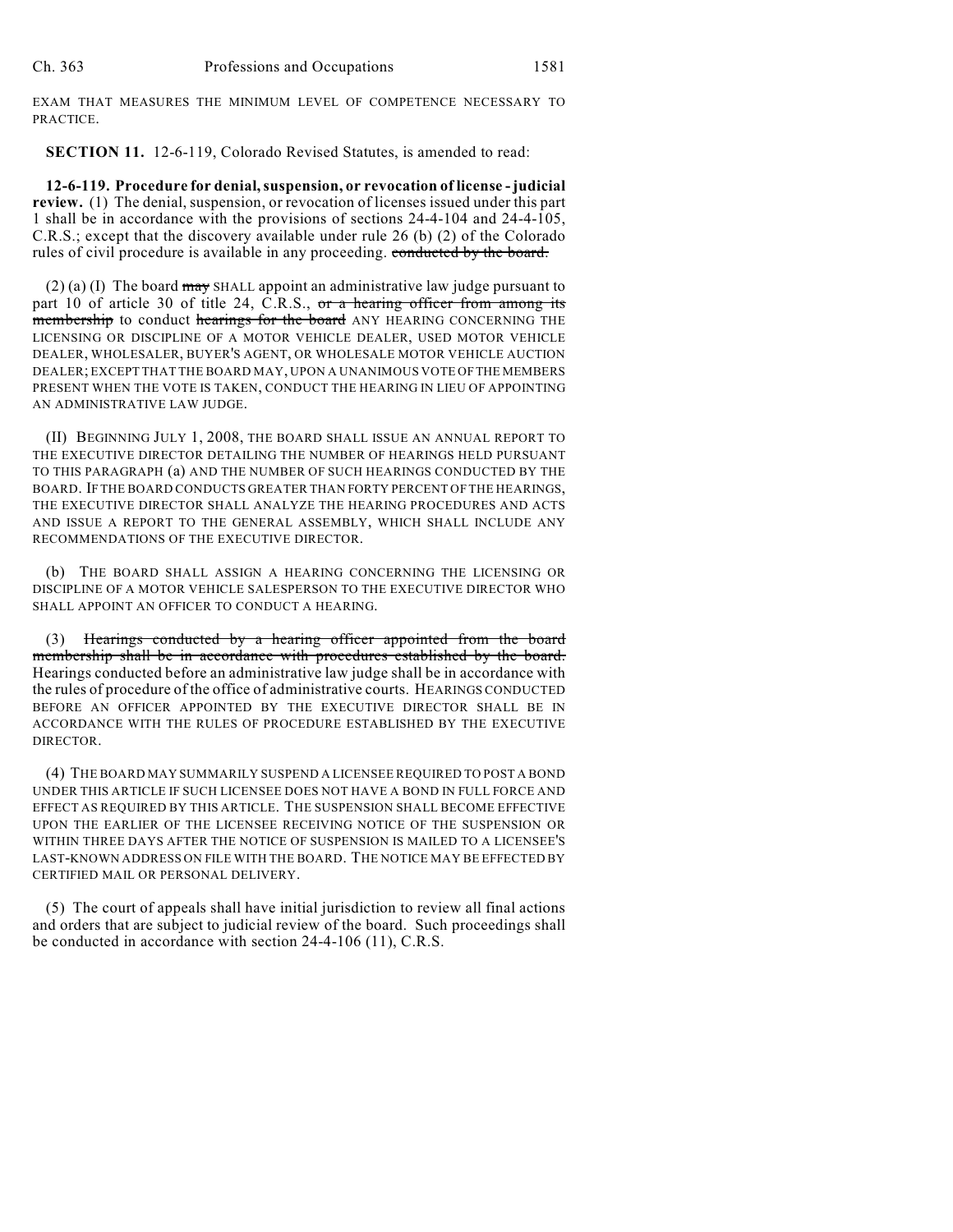EXAM THAT MEASURES THE MINIMUM LEVEL OF COMPETENCE NECESSARY TO PRACTICE.

**SECTION 11.** 12-6-119, Colorado Revised Statutes, is amended to read:

**12-6-119. Procedure for denial, suspension, or revocation of license - judicial review.** (1) The denial, suspension, or revocation of licenses issued under this part 1 shall be in accordance with the provisions of sections 24-4-104 and 24-4-105, C.R.S.; except that the discovery available under rule 26 (b) (2) of the Colorado rules of civil procedure is available in any proceeding. conducted by the board.

 $(2)$  (a) (I) The board may SHALL appoint an administrative law judge pursuant to part 10 of article 30 of title 24, C.R.S., or a hearing officer from among its membership to conduct hearings for the board ANY HEARING CONCERNING THE LICENSING OR DISCIPLINE OF A MOTOR VEHICLE DEALER, USED MOTOR VEHICLE DEALER, WHOLESALER, BUYER'S AGENT, OR WHOLESALE MOTOR VEHICLE AUCTION DEALER; EXCEPT THAT THE BOARD MAY, UPON A UNANIMOUS VOTE OF THE MEMBERS PRESENT WHEN THE VOTE IS TAKEN, CONDUCT THE HEARING IN LIEU OF APPOINTING AN ADMINISTRATIVE LAW JUDGE.

(II) BEGINNING JULY 1, 2008, THE BOARD SHALL ISSUE AN ANNUAL REPORT TO THE EXECUTIVE DIRECTOR DETAILING THE NUMBER OF HEARINGS HELD PURSUANT TO THIS PARAGRAPH (a) AND THE NUMBER OF SUCH HEARINGS CONDUCTED BY THE BOARD. IF THE BOARD CONDUCTS GREATER THAN FORTY PERCENT OF THE HEARINGS, THE EXECUTIVE DIRECTOR SHALL ANALYZE THE HEARING PROCEDURES AND ACTS AND ISSUE A REPORT TO THE GENERAL ASSEMBLY, WHICH SHALL INCLUDE ANY RECOMMENDATIONS OF THE EXECUTIVE DIRECTOR.

(b) THE BOARD SHALL ASSIGN A HEARING CONCERNING THE LICENSING OR DISCIPLINE OF A MOTOR VEHICLE SALESPERSON TO THE EXECUTIVE DIRECTOR WHO SHALL APPOINT AN OFFICER TO CONDUCT A HEARING.

(3) Hearings conducted by a hearing officer appointed from the board membership shall be in accordance with procedures established by the board. Hearings conducted before an administrative law judge shall be in accordance with the rules of procedure of the office of administrative courts. HEARINGS CONDUCTED BEFORE AN OFFICER APPOINTED BY THE EXECUTIVE DIRECTOR SHALL BE IN ACCORDANCE WITH THE RULES OF PROCEDURE ESTABLISHED BY THE EXECUTIVE DIRECTOR.

(4) THE BOARD MAY SUMMARILY SUSPEND A LICENSEE REQUIRED TO POST A BOND UNDER THIS ARTICLE IF SUCH LICENSEE DOES NOT HAVE A BOND IN FULL FORCE AND EFFECT AS REQUIRED BY THIS ARTICLE. THE SUSPENSION SHALL BECOME EFFECTIVE UPON THE EARLIER OF THE LICENSEE RECEIVING NOTICE OF THE SUSPENSION OR WITHIN THREE DAYS AFTER THE NOTICE OF SUSPENSION IS MAILED TO A LICENSEE'S LAST-KNOWN ADDRESS ON FILE WITH THE BOARD. THE NOTICE MAY BE EFFECTED BY CERTIFIED MAIL OR PERSONAL DELIVERY.

(5) The court of appeals shall have initial jurisdiction to review all final actions and orders that are subject to judicial review of the board. Such proceedings shall be conducted in accordance with section 24-4-106 (11), C.R.S.